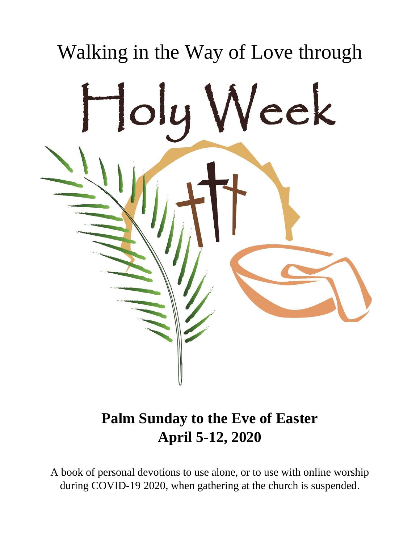

# **Palm Sunday to the Eve of Easter April 5-12, 2020**

A book of personal devotions to use alone, or to use with online worship during COVID-19 2020, when gathering at the church is suspended.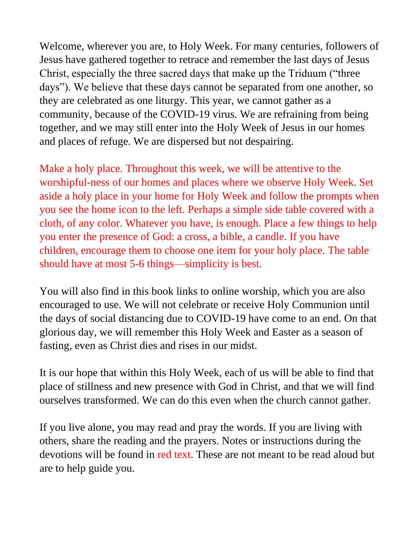Welcome, wherever you are, to Holy Week. For many centuries, followers of Jesus have gathered together to retrace and remember the last days of Jesus Christ, especially the three sacred days that make up the Triduum ("three days"). We believe that these days cannot be separated from one another, so they are celebrated as one liturgy. This year, we cannot gather as a community, because of the COVID-19 virus. We are refraining from being together, and we may still enter into the Holy Week of Jesus in our homes and places of refuge. We are dispersed but not despairing.

Make a holy place. Throughout this week, we will be attentive to the worshipful-ness of our homes and places where we observe Holy Week. Set aside a holy place in your home for Holy Week and follow the prompts when you see the home icon to the left. Perhaps a simple side table covered with a cloth, of any color. Whatever you have, is enough. Place a few things to help you enter the presence of God: a cross, a bible, a candle. If you have children, encourage them to choose one item for your holy place. The table should have at most 5-6 things—simplicity is best.

You will also find in this book links to online worship, which you are also encouraged to use. We will not celebrate or receive Holy Communion until the days of social distancing due to COVID-19 have come to an end. On that glorious day, we will remember this Holy Week and Easter as a season of fasting, even as Christ dies and rises in our midst.

It is our hope that within this Holy Week, each of us will be able to find that place of stillness and new presence with God in Christ, and that we will find ourselves transformed. We can do this even when the church cannot gather.

If you live alone, you may read and pray the words. If you are living with others, share the reading and the prayers. Notes or instructions during the devotions will be found in red text. These are not meant to be read aloud but are to help guide you.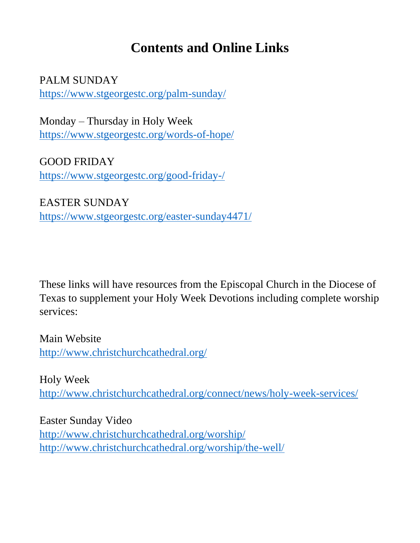# **Contents and Online Links**

PALM SUNDAY <https://www.stgeorgestc.org/palm-sunday/>

Monday – Thursday in Holy Week <https://www.stgeorgestc.org/words-of-hope/>

GOOD FRIDAY <https://www.stgeorgestc.org/good-friday-/>

EASTER SUNDAY <https://www.stgeorgestc.org/easter-sunday4471/>

These links will have resources from the Episcopal Church in the Diocese of Texas to supplement your Holy Week Devotions including complete worship services:

Main Website <http://www.christchurchcathedral.org/>

Holy Week <http://www.christchurchcathedral.org/connect/news/holy-week-services/>

Easter Sunday Video <http://www.christchurchcathedral.org/worship/> <http://www.christchurchcathedral.org/worship/the-well/>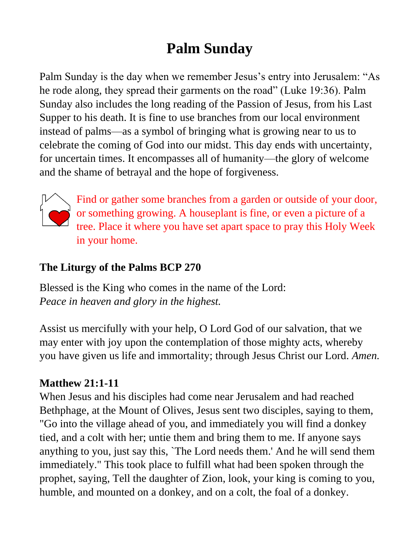# **Palm Sunday**

Palm Sunday is the day when we remember Jesus's entry into Jerusalem: "As he rode along, they spread their garments on the road" (Luke 19:36). Palm Sunday also includes the long reading of the Passion of Jesus, from his Last Supper to his death. It is fine to use branches from our local environment instead of palms—as a symbol of bringing what is growing near to us to celebrate the coming of God into our midst. This day ends with uncertainty, for uncertain times. It encompasses all of humanity—the glory of welcome and the shame of betrayal and the hope of forgiveness.



Find or gather some branches from a garden or outside of your door,  $\bullet$  or something growing. A houseplant is fine, or even a picture of a I tree. Place it where you have set apart space to pray this Holy Week in your home.

## **The Liturgy of the Palms BCP 270**

Blessed is the King who comes in the name of the Lord: *Peace in heaven and glory in the highest.*

Assist us mercifully with your help, O Lord God of our salvation, that we may enter with joy upon the contemplation of those mighty acts, whereby you have given us life and immortality; through Jesus Christ our Lord. *Amen.*

## **Matthew 21:1-11**

When Jesus and his disciples had come near Jerusalem and had reached Bethphage, at the Mount of Olives, Jesus sent two disciples, saying to them, "Go into the village ahead of you, and immediately you will find a donkey tied, and a colt with her; untie them and bring them to me. If anyone says anything to you, just say this, `The Lord needs them.' And he will send them immediately." This took place to fulfill what had been spoken through the prophet, saying, Tell the daughter of Zion, look, your king is coming to you, humble, and mounted on a donkey, and on a colt, the foal of a donkey.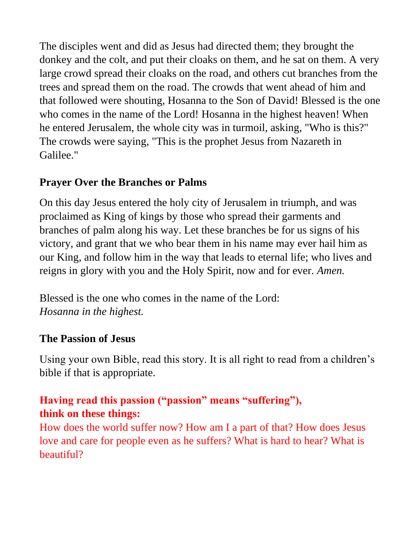The disciples went and did as Jesus had directed them; they brought the donkey and the colt, and put their cloaks on them, and he sat on them. A very large crowd spread their cloaks on the road, and others cut branches from the trees and spread them on the road. The crowds that went ahead of him and that followed were shouting, Hosanna to the Son of David! Blessed is the one who comes in the name of the Lord! Hosanna in the highest heaven! When he entered Jerusalem, the whole city was in turmoil, asking, "Who is this?" The crowds were saying, "This is the prophet Jesus from Nazareth in Galilee."

## **Prayer Over the Branches or Palms**

On this day Jesus entered the holy city of Jerusalem in triumph, and was proclaimed as King of kings by those who spread their garments and branches of palm along his way. Let these branches be for us signs of his victory, and grant that we who bear them in his name may ever hail him as our King, and follow him in the way that leads to eternal life; who lives and reigns in glory with you and the Holy Spirit, now and for ever. *Amen.*

Blessed is the one who comes in the name of the Lord: *Hosanna in the highest.* 

## **The Passion of Jesus**

Using your own Bible, read this story. It is all right to read from a children's bible if that is appropriate.

## **Having read this passion ("passion" means "suffering"), think on these things:**

How does the world suffer now? How am I a part of that? How does Jesus love and care for people even as he suffers? What is hard to hear? What is beautiful?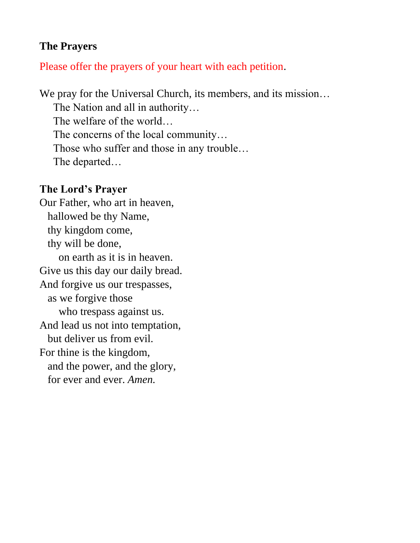#### **The Prayers**

Please offer the prayers of your heart with each petition.

We pray for the Universal Church, its members, and its mission...

 The Nation and all in authority… The welfare of the world… The concerns of the local community… Those who suffer and those in any trouble… The departed…

#### **The Lord's Prayer**

Our Father, who art in heaven, hallowed be thy Name, thy kingdom come, thy will be done, on earth as it is in heaven. Give us this day our daily bread. And forgive us our trespasses, as we forgive those who trespass against us. And lead us not into temptation, but deliver us from evil. For thine is the kingdom, and the power, and the glory, for ever and ever. *Amen.*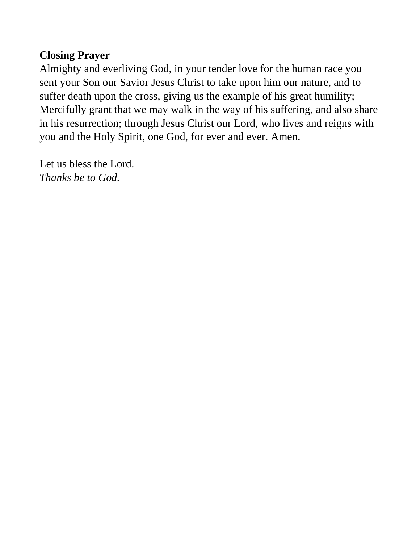#### **Closing Prayer**

Almighty and everliving God, in your tender love for the human race you sent your Son our Savior Jesus Christ to take upon him our nature, and to suffer death upon the cross, giving us the example of his great humility; Mercifully grant that we may walk in the way of his suffering, and also share in his resurrection; through Jesus Christ our Lord, who lives and reigns with you and the Holy Spirit, one God, for ever and ever. Amen.

Let us bless the Lord. *Thanks be to God.*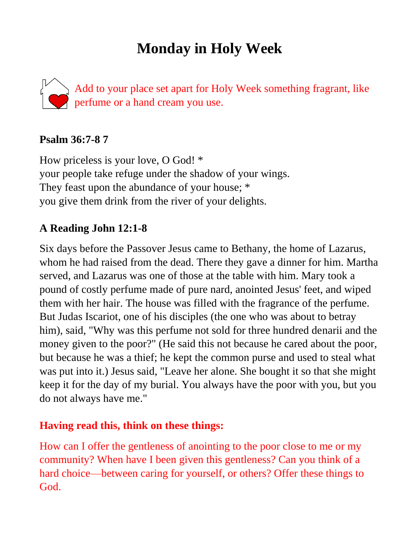# **Monday in Holy Week**

Add to your place set apart for Holy Week something fragrant, like perfume or a hand cream you use.

### **Psalm 36:7-8 7**

How priceless is your love, O God! \* your people take refuge under the shadow of your wings. They feast upon the abundance of your house; \* you give them drink from the river of your delights.

### **A Reading John 12:1-8**

Six days before the Passover Jesus came to Bethany, the home of Lazarus, whom he had raised from the dead. There they gave a dinner for him. Martha served, and Lazarus was one of those at the table with him. Mary took a pound of costly perfume made of pure nard, anointed Jesus' feet, and wiped them with her hair. The house was filled with the fragrance of the perfume. But Judas Iscariot, one of his disciples (the one who was about to betray him), said, "Why was this perfume not sold for three hundred denarii and the money given to the poor?" (He said this not because he cared about the poor, but because he was a thief; he kept the common purse and used to steal what was put into it.) Jesus said, "Leave her alone. She bought it so that she might keep it for the day of my burial. You always have the poor with you, but you do not always have me."

#### **Having read this, think on these things:**

How can I offer the gentleness of anointing to the poor close to me or my community? When have I been given this gentleness? Can you think of a hard choice—between caring for yourself, or others? Offer these things to God.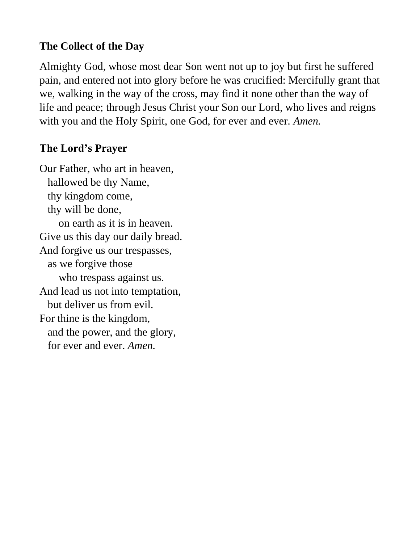### **The Collect of the Day**

Almighty God, whose most dear Son went not up to joy but first he suffered pain, and entered not into glory before he was crucified: Mercifully grant that we, walking in the way of the cross, may find it none other than the way of life and peace; through Jesus Christ your Son our Lord, who lives and reigns with you and the Holy Spirit, one God, for ever and ever. *Amen.*

### **The Lord's Prayer**

Our Father, who art in heaven, hallowed be thy Name, thy kingdom come, thy will be done, on earth as it is in heaven. Give us this day our daily bread. And forgive us our trespasses, as we forgive those who trespass against us. And lead us not into temptation, but deliver us from evil. For thine is the kingdom, and the power, and the glory, for ever and ever. *Amen.*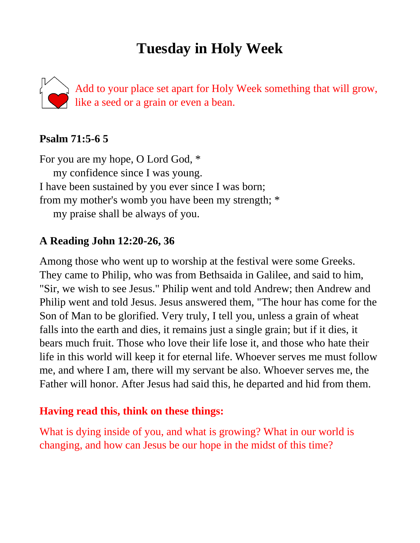# **Tuesday in Holy Week**

Add to your place set apart for Holy Week something that will grow, like a seed or a grain or even a bean.

#### **Psalm 71:5-6 5**

For you are my hope, O Lord God, \* my confidence since I was young. I have been sustained by you ever since I was born; from my mother's womb you have been my strength; \* my praise shall be always of you.

#### **A Reading John 12:20-26, 36**

Among those who went up to worship at the festival were some Greeks. They came to Philip, who was from Bethsaida in Galilee, and said to him, "Sir, we wish to see Jesus." Philip went and told Andrew; then Andrew and Philip went and told Jesus. Jesus answered them, "The hour has come for the Son of Man to be glorified. Very truly, I tell you, unless a grain of wheat falls into the earth and dies, it remains just a single grain; but if it dies, it bears much fruit. Those who love their life lose it, and those who hate their life in this world will keep it for eternal life. Whoever serves me must follow me, and where I am, there will my servant be also. Whoever serves me, the Father will honor. After Jesus had said this, he departed and hid from them.

#### **Having read this, think on these things:**

What is dying inside of you, and what is growing? What in our world is changing, and how can Jesus be our hope in the midst of this time?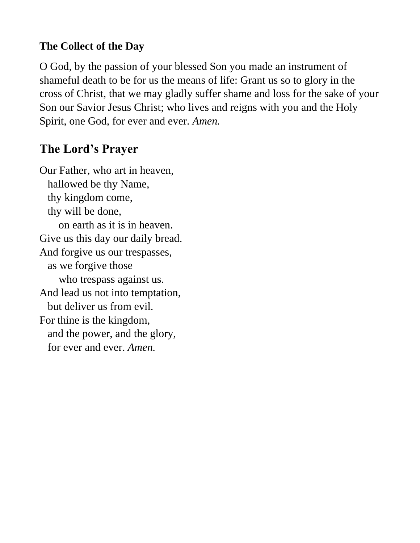#### **The Collect of the Day**

O God, by the passion of your blessed Son you made an instrument of shameful death to be for us the means of life: Grant us so to glory in the cross of Christ, that we may gladly suffer shame and loss for the sake of your Son our Savior Jesus Christ; who lives and reigns with you and the Holy Spirit, one God, for ever and ever. *Amen.*

## **The Lord's Prayer**

Our Father, who art in heaven, hallowed be thy Name, thy kingdom come, thy will be done, on earth as it is in heaven. Give us this day our daily bread. And forgive us our trespasses, as we forgive those who trespass against us. And lead us not into temptation, but deliver us from evil. For thine is the kingdom, and the power, and the glory, for ever and ever. *Amen.*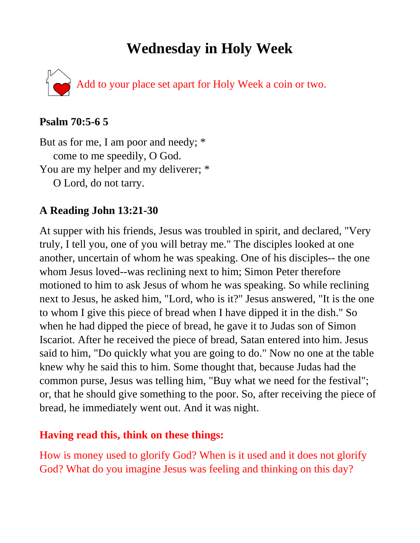# **Wednesday in Holy Week**



### **Psalm 70:5-6 5**

But as for me, I am poor and needy; \* come to me speedily, O God. You are my helper and my deliverer;  $*$ O Lord, do not tarry.

#### **A Reading John 13:21-30**

At supper with his friends, Jesus was troubled in spirit, and declared, "Very truly, I tell you, one of you will betray me." The disciples looked at one another, uncertain of whom he was speaking. One of his disciples-- the one whom Jesus loved--was reclining next to him; Simon Peter therefore motioned to him to ask Jesus of whom he was speaking. So while reclining next to Jesus, he asked him, "Lord, who is it?" Jesus answered, "It is the one to whom I give this piece of bread when I have dipped it in the dish." So when he had dipped the piece of bread, he gave it to Judas son of Simon Iscariot. After he received the piece of bread, Satan entered into him. Jesus said to him, "Do quickly what you are going to do." Now no one at the table knew why he said this to him. Some thought that, because Judas had the common purse, Jesus was telling him, "Buy what we need for the festival"; or, that he should give something to the poor. So, after receiving the piece of bread, he immediately went out. And it was night.

#### **Having read this, think on these things:**

How is money used to glorify God? When is it used and it does not glorify God? What do you imagine Jesus was feeling and thinking on this day?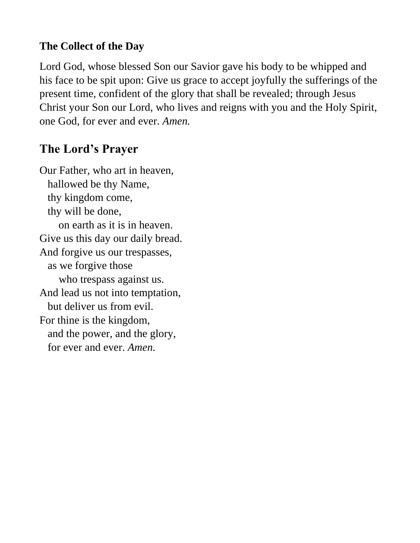#### **The Collect of the Day**

Lord God, whose blessed Son our Savior gave his body to be whipped and his face to be spit upon: Give us grace to accept joyfully the sufferings of the present time, confident of the glory that shall be revealed; through Jesus Christ your Son our Lord, who lives and reigns with you and the Holy Spirit, one God, for ever and ever. *Amen.*

## **The Lord's Prayer**

Our Father, who art in heaven, hallowed be thy Name, thy kingdom come, thy will be done, on earth as it is in heaven. Give us this day our daily bread. And forgive us our trespasses, as we forgive those who trespass against us. And lead us not into temptation, but deliver us from evil. For thine is the kingdom, and the power, and the glory, for ever and ever. *Amen.*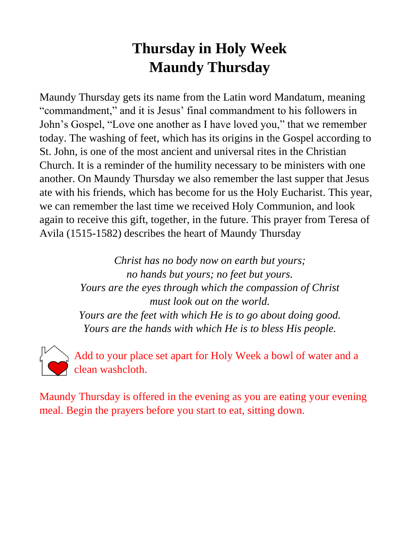# **Thursday in Holy Week Maundy Thursday**

Maundy Thursday gets its name from the Latin word Mandatum, meaning "commandment," and it is Jesus' final commandment to his followers in John's Gospel, "Love one another as I have loved you," that we remember today. The washing of feet, which has its origins in the Gospel according to St. John, is one of the most ancient and universal rites in the Christian Church. It is a reminder of the humility necessary to be ministers with one another. On Maundy Thursday we also remember the last supper that Jesus ate with his friends, which has become for us the Holy Eucharist. This year, we can remember the last time we received Holy Communion, and look again to receive this gift, together, in the future. This prayer from Teresa of Avila (1515-1582) describes the heart of Maundy Thursday

> *Christ has no body now on earth but yours; no hands but yours; no feet but yours. Yours are the eyes through which the compassion of Christ must look out on the world. Yours are the feet with which He is to go about doing good. Yours are the hands with which He is to bless His people.*

Add to your place set apart for Holy Week a bowl of water and a clean washcloth.

Maundy Thursday is offered in the evening as you are eating your evening meal. Begin the prayers before you start to eat, sitting down.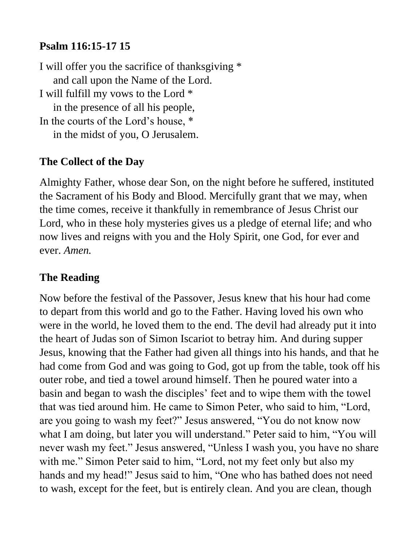## **Psalm 116:15-17 15**

I will offer you the sacrifice of thanksgiving \* and call upon the Name of the Lord. I will fulfill my vows to the Lord \* in the presence of all his people, In the courts of the Lord's house, \* in the midst of you, O Jerusalem.

### **The Collect of the Day**

Almighty Father, whose dear Son, on the night before he suffered, instituted the Sacrament of his Body and Blood. Mercifully grant that we may, when the time comes, receive it thankfully in remembrance of Jesus Christ our Lord, who in these holy mysteries gives us a pledge of eternal life; and who now lives and reigns with you and the Holy Spirit, one God, for ever and ever. *Amen.*

#### **The Reading**

Now before the festival of the Passover, Jesus knew that his hour had come to depart from this world and go to the Father. Having loved his own who were in the world, he loved them to the end. The devil had already put it into the heart of Judas son of Simon Iscariot to betray him. And during supper Jesus, knowing that the Father had given all things into his hands, and that he had come from God and was going to God, got up from the table, took off his outer robe, and tied a towel around himself. Then he poured water into a basin and began to wash the disciples' feet and to wipe them with the towel that was tied around him. He came to Simon Peter, who said to him, "Lord, are you going to wash my feet?" Jesus answered, "You do not know now what I am doing, but later you will understand." Peter said to him, "You will never wash my feet." Jesus answered, "Unless I wash you, you have no share with me." Simon Peter said to him, "Lord, not my feet only but also my hands and my head!" Jesus said to him, "One who has bathed does not need to wash, except for the feet, but is entirely clean. And you are clean, though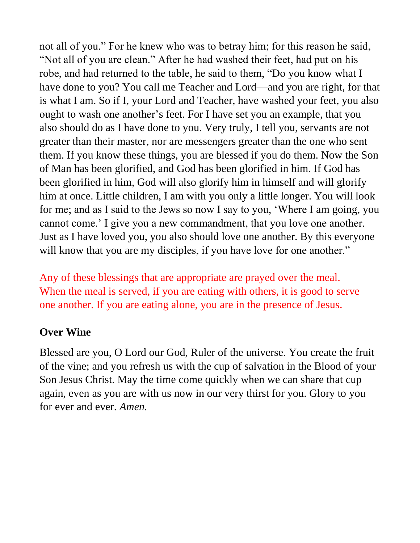not all of you." For he knew who was to betray him; for this reason he said, "Not all of you are clean." After he had washed their feet, had put on his robe, and had returned to the table, he said to them, "Do you know what I have done to you? You call me Teacher and Lord—and you are right, for that is what I am. So if I, your Lord and Teacher, have washed your feet, you also ought to wash one another's feet. For I have set you an example, that you also should do as I have done to you. Very truly, I tell you, servants are not greater than their master, nor are messengers greater than the one who sent them. If you know these things, you are blessed if you do them. Now the Son of Man has been glorified, and God has been glorified in him. If God has been glorified in him, God will also glorify him in himself and will glorify him at once. Little children, I am with you only a little longer. You will look for me; and as I said to the Jews so now I say to you, 'Where I am going, you cannot come.' I give you a new commandment, that you love one another. Just as I have loved you, you also should love one another. By this everyone will know that you are my disciples, if you have love for one another."

Any of these blessings that are appropriate are prayed over the meal. When the meal is served, if you are eating with others, it is good to serve one another. If you are eating alone, you are in the presence of Jesus.

#### **Over Wine**

Blessed are you, O Lord our God, Ruler of the universe. You create the fruit of the vine; and you refresh us with the cup of salvation in the Blood of your Son Jesus Christ. May the time come quickly when we can share that cup again, even as you are with us now in our very thirst for you. Glory to you for ever and ever. *Amen.*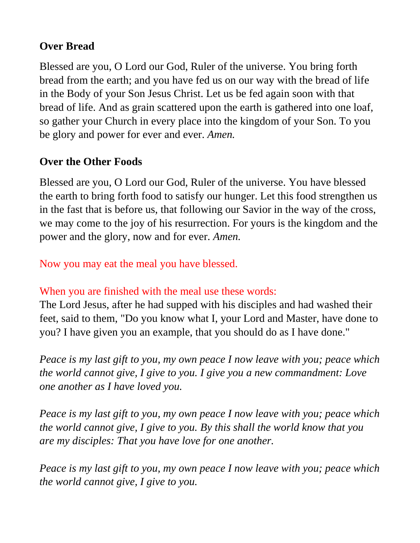## **Over Bread**

Blessed are you, O Lord our God, Ruler of the universe. You bring forth bread from the earth; and you have fed us on our way with the bread of life in the Body of your Son Jesus Christ. Let us be fed again soon with that bread of life. And as grain scattered upon the earth is gathered into one loaf, so gather your Church in every place into the kingdom of your Son. To you be glory and power for ever and ever. *Amen.*

### **Over the Other Foods**

Blessed are you, O Lord our God, Ruler of the universe. You have blessed the earth to bring forth food to satisfy our hunger. Let this food strengthen us in the fast that is before us, that following our Savior in the way of the cross, we may come to the joy of his resurrection. For yours is the kingdom and the power and the glory, now and for ever. *Amen.*

Now you may eat the meal you have blessed.

When you are finished with the meal use these words:

The Lord Jesus, after he had supped with his disciples and had washed their feet, said to them, "Do you know what I, your Lord and Master, have done to you? I have given you an example, that you should do as I have done."

*Peace is my last gift to you, my own peace I now leave with you; peace which the world cannot give, I give to you. I give you a new commandment: Love one another as I have loved you.* 

*Peace is my last gift to you, my own peace I now leave with you; peace which the world cannot give, I give to you. By this shall the world know that you are my disciples: That you have love for one another.* 

*Peace is my last gift to you, my own peace I now leave with you; peace which the world cannot give, I give to you.*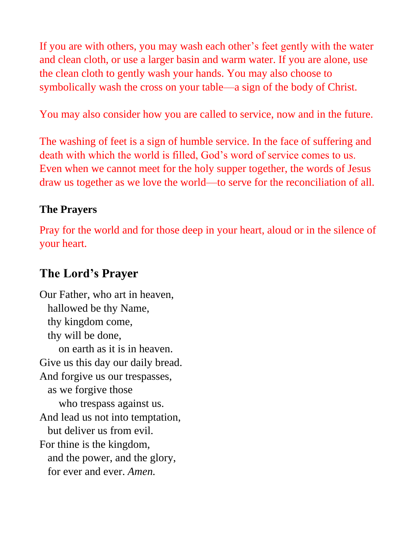If you are with others, you may wash each other's feet gently with the water and clean cloth, or use a larger basin and warm water. If you are alone, use the clean cloth to gently wash your hands. You may also choose to symbolically wash the cross on your table—a sign of the body of Christ.

You may also consider how you are called to service, now and in the future.

The washing of feet is a sign of humble service. In the face of suffering and death with which the world is filled, God's word of service comes to us. Even when we cannot meet for the holy supper together, the words of Jesus draw us together as we love the world—to serve for the reconciliation of all.

#### **The Prayers**

Pray for the world and for those deep in your heart, aloud or in the silence of your heart.

## **The Lord's Prayer**

Our Father, who art in heaven, hallowed be thy Name, thy kingdom come, thy will be done, on earth as it is in heaven. Give us this day our daily bread. And forgive us our trespasses, as we forgive those who trespass against us. And lead us not into temptation, but deliver us from evil. For thine is the kingdom, and the power, and the glory, for ever and ever. *Amen.*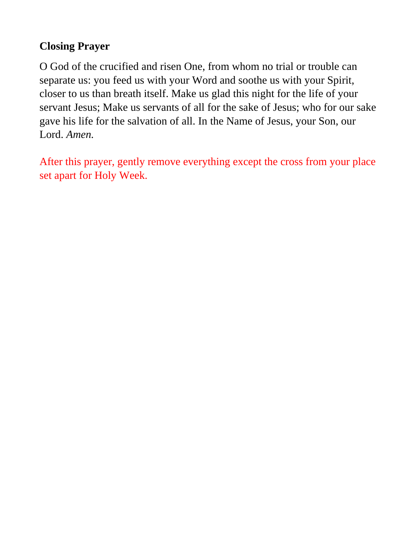### **Closing Prayer**

O God of the crucified and risen One, from whom no trial or trouble can separate us: you feed us with your Word and soothe us with your Spirit, closer to us than breath itself. Make us glad this night for the life of your servant Jesus; Make us servants of all for the sake of Jesus; who for our sake gave his life for the salvation of all. In the Name of Jesus, your Son, our Lord. *Amen.*

After this prayer, gently remove everything except the cross from your place set apart for Holy Week.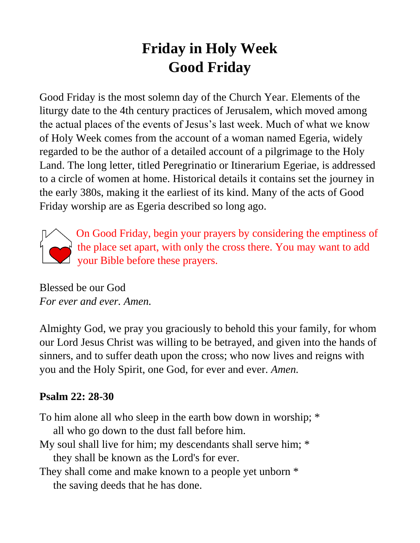# **Friday in Holy Week Good Friday**

Good Friday is the most solemn day of the Church Year. Elements of the liturgy date to the 4th century practices of Jerusalem, which moved among the actual places of the events of Jesus's last week. Much of what we know of Holy Week comes from the account of a woman named Egeria, widely regarded to be the author of a detailed account of a pilgrimage to the Holy Land. The long letter, titled Peregrinatio or Itinerarium Egeriae, is addressed to a circle of women at home. Historical details it contains set the journey in the early 380s, making it the earliest of its kind. Many of the acts of Good Friday worship are as Egeria described so long ago.



On Good Friday, begin your prayers by considering the emptiness of the place set apart, with only the cross there. You may want to add your Bible before these prayers.

Blessed be our God *For ever and ever. Amen.*

Almighty God, we pray you graciously to behold this your family, for whom our Lord Jesus Christ was willing to be betrayed, and given into the hands of sinners, and to suffer death upon the cross; who now lives and reigns with you and the Holy Spirit, one God, for ever and ever. *Amen.*

## **Psalm 22: 28-30**

To him alone all who sleep in the earth bow down in worship; \* all who go down to the dust fall before him.

- My soul shall live for him; my descendants shall serve him; \* they shall be known as the Lord's for ever.
- They shall come and make known to a people yet unborn \* the saving deeds that he has done.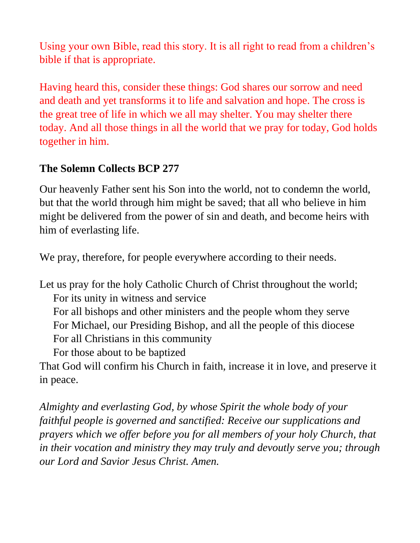Using your own Bible, read this story. It is all right to read from a children's bible if that is appropriate.

Having heard this, consider these things: God shares our sorrow and need and death and yet transforms it to life and salvation and hope. The cross is the great tree of life in which we all may shelter. You may shelter there today. And all those things in all the world that we pray for today, God holds together in him.

## **The Solemn Collects BCP 277**

Our heavenly Father sent his Son into the world, not to condemn the world, but that the world through him might be saved; that all who believe in him might be delivered from the power of sin and death, and become heirs with him of everlasting life.

We pray, therefore, for people everywhere according to their needs.

Let us pray for the holy Catholic Church of Christ throughout the world; For its unity in witness and service For all bishops and other ministers and the people whom they serve For Michael, our Presiding Bishop, and all the people of this diocese For all Christians in this community For those about to be baptized

That God will confirm his Church in faith, increase it in love, and preserve it in peace.

*Almighty and everlasting God, by whose Spirit the whole body of your faithful people is governed and sanctified: Receive our supplications and prayers which we offer before you for all members of your holy Church, that in their vocation and ministry they may truly and devoutly serve you; through our Lord and Savior Jesus Christ. Amen.*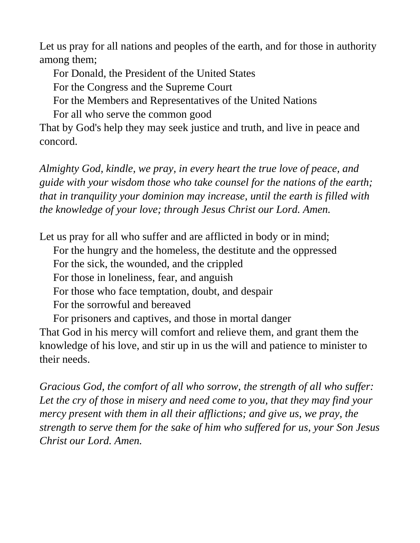Let us pray for all nations and peoples of the earth, and for those in authority among them;

For Donald, the President of the United States

For the Congress and the Supreme Court

For the Members and Representatives of the United Nations

For all who serve the common good

That by God's help they may seek justice and truth, and live in peace and concord.

*Almighty God, kindle, we pray, in every heart the true love of peace, and guide with your wisdom those who take counsel for the nations of the earth; that in tranquility your dominion may increase, until the earth is filled with the knowledge of your love; through Jesus Christ our Lord. Amen.* 

Let us pray for all who suffer and are afflicted in body or in mind; For the hungry and the homeless, the destitute and the oppressed For the sick, the wounded, and the crippled For those in loneliness, fear, and anguish For those who face temptation, doubt, and despair For the sorrowful and bereaved For prisoners and captives, and those in mortal danger

That God in his mercy will comfort and relieve them, and grant them the knowledge of his love, and stir up in us the will and patience to minister to their needs.

*Gracious God, the comfort of all who sorrow, the strength of all who suffer: Let the cry of those in misery and need come to you, that they may find your mercy present with them in all their afflictions; and give us, we pray, the strength to serve them for the sake of him who suffered for us, your Son Jesus Christ our Lord. Amen.*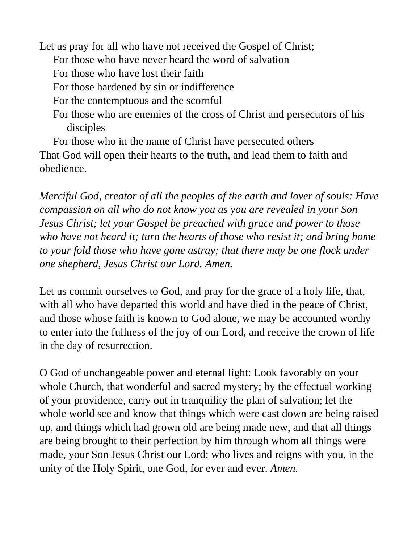Let us pray for all who have not received the Gospel of Christ; For those who have never heard the word of salvation For those who have lost their faith For those hardened by sin or indifference For the contemptuous and the scornful For those who are enemies of the cross of Christ and persecutors of his disciples For those who in the name of Christ have persecuted others

That God will open their hearts to the truth, and lead them to faith and obedience.

*Merciful God, creator of all the peoples of the earth and lover of souls: Have compassion on all who do not know you as you are revealed in your Son Jesus Christ; let your Gospel be preached with grace and power to those who have not heard it; turn the hearts of those who resist it; and bring home to your fold those who have gone astray; that there may be one flock under one shepherd, Jesus Christ our Lord. Amen.* 

Let us commit ourselves to God, and pray for the grace of a holy life, that, with all who have departed this world and have died in the peace of Christ, and those whose faith is known to God alone, we may be accounted worthy to enter into the fullness of the joy of our Lord, and receive the crown of life in the day of resurrection.

O God of unchangeable power and eternal light: Look favorably on your whole Church, that wonderful and sacred mystery; by the effectual working of your providence, carry out in tranquility the plan of salvation; let the whole world see and know that things which were cast down are being raised up, and things which had grown old are being made new, and that all things are being brought to their perfection by him through whom all things were made, your Son Jesus Christ our Lord; who lives and reigns with you, in the unity of the Holy Spirit, one God, for ever and ever. *Amen.*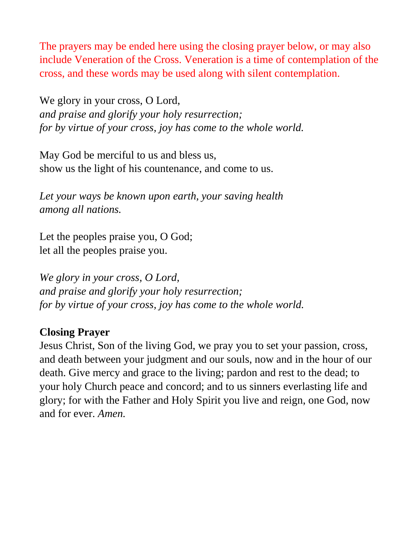The prayers may be ended here using the closing prayer below, or may also include Veneration of the Cross. Veneration is a time of contemplation of the cross, and these words may be used along with silent contemplation.

We glory in your cross, O Lord, *and praise and glorify your holy resurrection; for by virtue of your cross, joy has come to the whole world.* 

May God be merciful to us and bless us, show us the light of his countenance, and come to us.

*Let your ways be known upon earth, your saving health among all nations.*

Let the peoples praise you, O God; let all the peoples praise you.

*We glory in your cross, O Lord, and praise and glorify your holy resurrection; for by virtue of your cross, joy has come to the whole world.* 

#### **Closing Prayer**

Jesus Christ, Son of the living God, we pray you to set your passion, cross, and death between your judgment and our souls, now and in the hour of our death. Give mercy and grace to the living; pardon and rest to the dead; to your holy Church peace and concord; and to us sinners everlasting life and glory; for with the Father and Holy Spirit you live and reign, one God, now and for ever. *Amen.*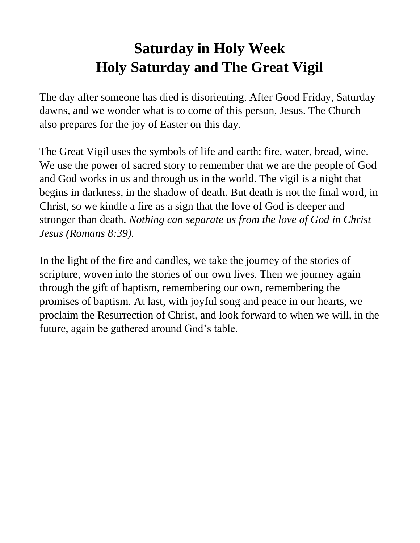# **Saturday in Holy Week Holy Saturday and The Great Vigil**

The day after someone has died is disorienting. After Good Friday, Saturday dawns, and we wonder what is to come of this person, Jesus. The Church also prepares for the joy of Easter on this day.

The Great Vigil uses the symbols of life and earth: fire, water, bread, wine. We use the power of sacred story to remember that we are the people of God and God works in us and through us in the world. The vigil is a night that begins in darkness, in the shadow of death. But death is not the final word, in Christ, so we kindle a fire as a sign that the love of God is deeper and stronger than death. *Nothing can separate us from the love of God in Christ Jesus (Romans 8:39).*

In the light of the fire and candles, we take the journey of the stories of scripture, woven into the stories of our own lives. Then we journey again through the gift of baptism, remembering our own, remembering the promises of baptism. At last, with joyful song and peace in our hearts, we proclaim the Resurrection of Christ, and look forward to when we will, in the future, again be gathered around God's table.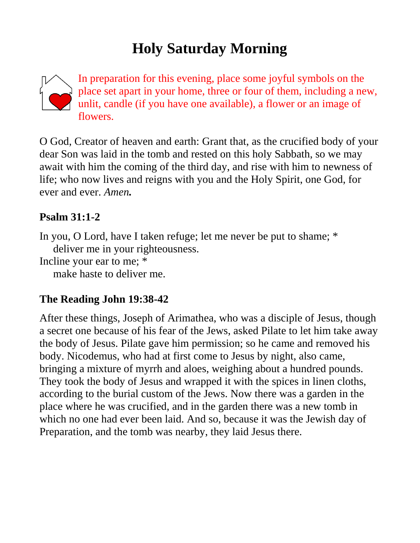# **Holy Saturday Morning**



In preparation for this evening, place some joyful symbols on the place set apart in your home, three or four of them, including a new, unlit, candle (if you have one available), a flower or an image of flowers.

O God, Creator of heaven and earth: Grant that, as the crucified body of your dear Son was laid in the tomb and rested on this holy Sabbath, so we may await with him the coming of the third day, and rise with him to newness of life; who now lives and reigns with you and the Holy Spirit, one God, for ever and ever. *Amen.*

## **Psalm 31:1-2**

In you, O Lord, have I taken refuge; let me never be put to shame; \* deliver me in your righteousness.

Incline your ear to me; \*

make haste to deliver me.

## **The Reading John 19:38-42**

After these things, Joseph of Arimathea, who was a disciple of Jesus, though a secret one because of his fear of the Jews, asked Pilate to let him take away the body of Jesus. Pilate gave him permission; so he came and removed his body. Nicodemus, who had at first come to Jesus by night, also came, bringing a mixture of myrrh and aloes, weighing about a hundred pounds. They took the body of Jesus and wrapped it with the spices in linen cloths, according to the burial custom of the Jews. Now there was a garden in the place where he was crucified, and in the garden there was a new tomb in which no one had ever been laid. And so, because it was the Jewish day of Preparation, and the tomb was nearby, they laid Jesus there.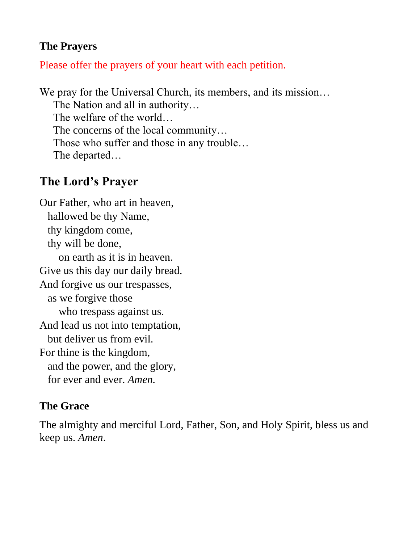#### **The Prayers**

Please offer the prayers of your heart with each petition.

We pray for the Universal Church, its members, and its mission... The Nation and all in authority… The welfare of the world… The concerns of the local community… Those who suffer and those in any trouble… The departed…

## **The Lord's Prayer**

Our Father, who art in heaven, hallowed be thy Name, thy kingdom come, thy will be done, on earth as it is in heaven. Give us this day our daily bread. And forgive us our trespasses, as we forgive those who trespass against us. And lead us not into temptation, but deliver us from evil. For thine is the kingdom, and the power, and the glory, for ever and ever. *Amen.*

#### **The Grace**

The almighty and merciful Lord, Father, Son, and Holy Spirit, bless us and keep us. *Amen*.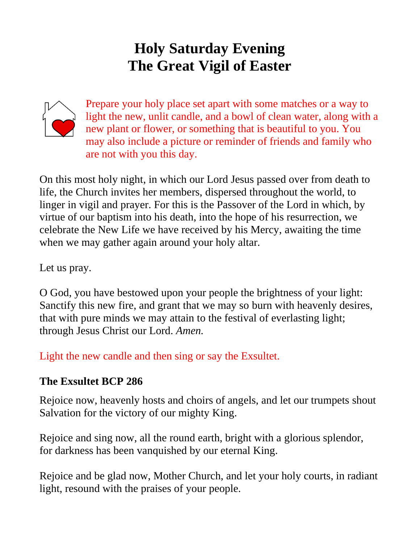# **Holy Saturday Evening The Great Vigil of Easter**



Prepare your holy place set apart with some matches or a way to light the new, unlit candle, and a bowl of clean water, along with a new plant or flower, or something that is beautiful to you. You may also include a picture or reminder of friends and family who are not with you this day.

On this most holy night, in which our Lord Jesus passed over from death to life, the Church invites her members, dispersed throughout the world, to linger in vigil and prayer. For this is the Passover of the Lord in which, by virtue of our baptism into his death, into the hope of his resurrection, we celebrate the New Life we have received by his Mercy, awaiting the time when we may gather again around your holy altar.

Let us pray.

O God, you have bestowed upon your people the brightness of your light: Sanctify this new fire, and grant that we may so burn with heavenly desires, that with pure minds we may attain to the festival of everlasting light; through Jesus Christ our Lord. *Amen.*

Light the new candle and then sing or say the Exsultet.

## **The Exsultet BCP 286**

Rejoice now, heavenly hosts and choirs of angels, and let our trumpets shout Salvation for the victory of our mighty King.

Rejoice and sing now, all the round earth, bright with a glorious splendor, for darkness has been vanquished by our eternal King.

Rejoice and be glad now, Mother Church, and let your holy courts, in radiant light, resound with the praises of your people.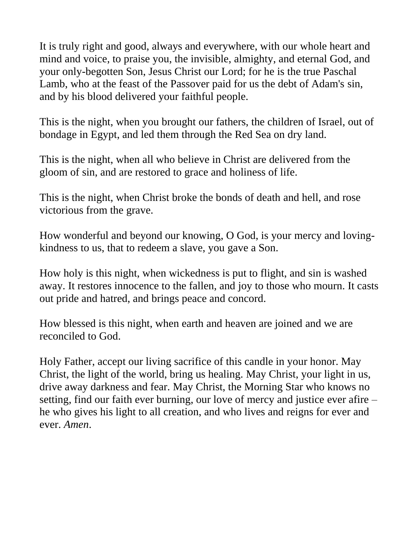It is truly right and good, always and everywhere, with our whole heart and mind and voice, to praise you, the invisible, almighty, and eternal God, and your only-begotten Son, Jesus Christ our Lord; for he is the true Paschal Lamb, who at the feast of the Passover paid for us the debt of Adam's sin, and by his blood delivered your faithful people.

This is the night, when you brought our fathers, the children of Israel, out of bondage in Egypt, and led them through the Red Sea on dry land.

This is the night, when all who believe in Christ are delivered from the gloom of sin, and are restored to grace and holiness of life.

This is the night, when Christ broke the bonds of death and hell, and rose victorious from the grave.

How wonderful and beyond our knowing, O God, is your mercy and lovingkindness to us, that to redeem a slave, you gave a Son.

How holy is this night, when wickedness is put to flight, and sin is washed away. It restores innocence to the fallen, and joy to those who mourn. It casts out pride and hatred, and brings peace and concord.

How blessed is this night, when earth and heaven are joined and we are reconciled to God.

Holy Father, accept our living sacrifice of this candle in your honor. May Christ, the light of the world, bring us healing. May Christ, your light in us, drive away darkness and fear. May Christ, the Morning Star who knows no setting, find our faith ever burning, our love of mercy and justice ever afire – he who gives his light to all creation, and who lives and reigns for ever and ever. *Amen*.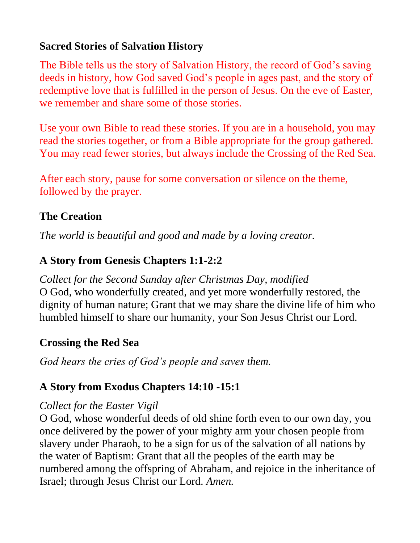### **Sacred Stories of Salvation History**

The Bible tells us the story of Salvation History, the record of God's saving deeds in history, how God saved God's people in ages past, and the story of redemptive love that is fulfilled in the person of Jesus. On the eve of Easter, we remember and share some of those stories.

Use your own Bible to read these stories. If you are in a household, you may read the stories together, or from a Bible appropriate for the group gathered. You may read fewer stories, but always include the Crossing of the Red Sea.

After each story, pause for some conversation or silence on the theme, followed by the prayer.

## **The Creation**

*The world is beautiful and good and made by a loving creator.*

## **A Story from Genesis Chapters 1:1-2:2**

*Collect for the Second Sunday after Christmas Day, modified* O God, who wonderfully created, and yet more wonderfully restored, the dignity of human nature; Grant that we may share the divine life of him who humbled himself to share our humanity, your Son Jesus Christ our Lord.

## **Crossing the Red Sea**

*God hears the cries of God's people and saves them.*

## **A Story from Exodus Chapters 14:10 -15:1**

#### *Collect for the Easter Vigil*

O God, whose wonderful deeds of old shine forth even to our own day, you once delivered by the power of your mighty arm your chosen people from slavery under Pharaoh, to be a sign for us of the salvation of all nations by the water of Baptism: Grant that all the peoples of the earth may be numbered among the offspring of Abraham, and rejoice in the inheritance of Israel; through Jesus Christ our Lord. *Amen.*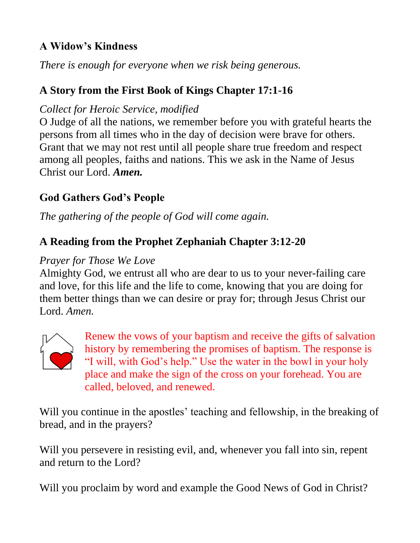## **A Widow's Kindness**

*There is enough for everyone when we risk being generous.*

## **A Story from the First Book of Kings Chapter 17:1-16**

## *Collect for Heroic Service, modified*

O Judge of all the nations, we remember before you with grateful hearts the persons from all times who in the day of decision were brave for others. Grant that we may not rest until all people share true freedom and respect among all peoples, faiths and nations. This we ask in the Name of Jesus Christ our Lord. *Amen.*

# **God Gathers God's People**

*The gathering of the people of God will come again.*

# **A Reading from the Prophet Zephaniah Chapter 3:12-20**

## *Prayer for Those We Love*

Almighty God, we entrust all who are dear to us to your never-failing care and love, for this life and the life to come, knowing that you are doing for them better things than we can desire or pray for; through Jesus Christ our Lord. *Amen.*



Renew the vows of your baptism and receive the gifts of salvation history by remembering the promises of baptism. The response is "I will, with God's help." Use the water in the bowl in your holy place and make the sign of the cross on your forehead. You are called, beloved, and renewed.

Will you continue in the apostles' teaching and fellowship, in the breaking of bread, and in the prayers?

Will you persevere in resisting evil, and, whenever you fall into sin, repent and return to the Lord?

Will you proclaim by word and example the Good News of God in Christ?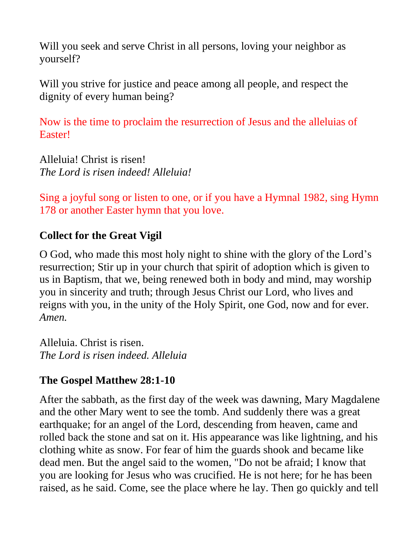Will you seek and serve Christ in all persons, loving your neighbor as yourself?

Will you strive for justice and peace among all people, and respect the dignity of every human being?

Now is the time to proclaim the resurrection of Jesus and the alleluias of Easter!

Alleluia! Christ is risen! *The Lord is risen indeed! Alleluia!*

Sing a joyful song or listen to one, or if you have a Hymnal 1982, sing Hymn 178 or another Easter hymn that you love.

### **Collect for the Great Vigil**

O God, who made this most holy night to shine with the glory of the Lord's resurrection; Stir up in your church that spirit of adoption which is given to us in Baptism, that we, being renewed both in body and mind, may worship you in sincerity and truth; through Jesus Christ our Lord, who lives and reigns with you, in the unity of the Holy Spirit, one God, now and for ever. *Amen.*

Alleluia. Christ is risen. *The Lord is risen indeed. Alleluia*

## **The Gospel Matthew 28:1-10**

After the sabbath, as the first day of the week was dawning, Mary Magdalene and the other Mary went to see the tomb. And suddenly there was a great earthquake; for an angel of the Lord, descending from heaven, came and rolled back the stone and sat on it. His appearance was like lightning, and his clothing white as snow. For fear of him the guards shook and became like dead men. But the angel said to the women, "Do not be afraid; I know that you are looking for Jesus who was crucified. He is not here; for he has been raised, as he said. Come, see the place where he lay. Then go quickly and tell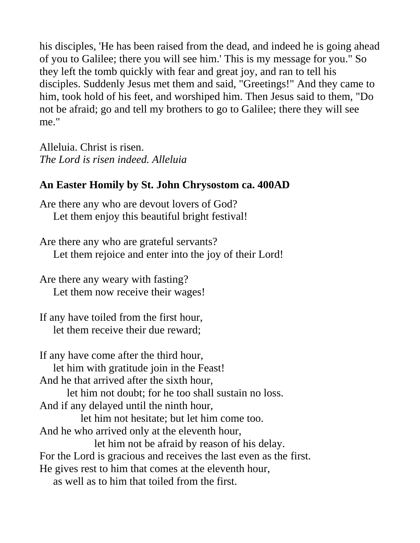his disciples, 'He has been raised from the dead, and indeed he is going ahead of you to Galilee; there you will see him.' This is my message for you." So they left the tomb quickly with fear and great joy, and ran to tell his disciples. Suddenly Jesus met them and said, "Greetings!" And they came to him, took hold of his feet, and worshiped him. Then Jesus said to them, "Do not be afraid; go and tell my brothers to go to Galilee; there they will see me."

Alleluia. Christ is risen. *The Lord is risen indeed. Alleluia*

#### **An Easter Homily by St. John Chrysostom ca. 400AD**

Are there any who are devout lovers of God? Let them enjoy this beautiful bright festival!

Are there any who are grateful servants? Let them rejoice and enter into the joy of their Lord!

Are there any weary with fasting? Let them now receive their wages!

If any have toiled from the first hour, let them receive their due reward;

If any have come after the third hour, let him with gratitude join in the Feast! And he that arrived after the sixth hour, let him not doubt; for he too shall sustain no loss. And if any delayed until the ninth hour, let him not hesitate; but let him come too. And he who arrived only at the eleventh hour, let him not be afraid by reason of his delay. For the Lord is gracious and receives the last even as the first. He gives rest to him that comes at the eleventh hour, as well as to him that toiled from the first.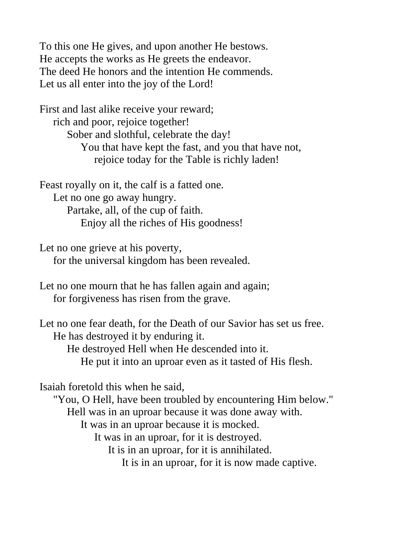To this one He gives, and upon another He bestows. He accepts the works as He greets the endeavor. The deed He honors and the intention He commends. Let us all enter into the joy of the Lord!

First and last alike receive your reward; rich and poor, rejoice together! Sober and slothful, celebrate the day! You that have kept the fast, and you that have not, rejoice today for the Table is richly laden!

Feast royally on it, the calf is a fatted one. Let no one go away hungry. Partake, all, of the cup of faith. Enjoy all the riches of His goodness!

Let no one grieve at his poverty, for the universal kingdom has been revealed.

Let no one mourn that he has fallen again and again; for forgiveness has risen from the grave.

Let no one fear death, for the Death of our Savior has set us free. He has destroyed it by enduring it. He destroyed Hell when He descended into it. He put it into an uproar even as it tasted of His flesh.

Isaiah foretold this when he said,

 "You, O Hell, have been troubled by encountering Him below." Hell was in an uproar because it was done away with. It was in an uproar because it is mocked. It was in an uproar, for it is destroyed. It is in an uproar, for it is annihilated. It is in an uproar, for it is now made captive.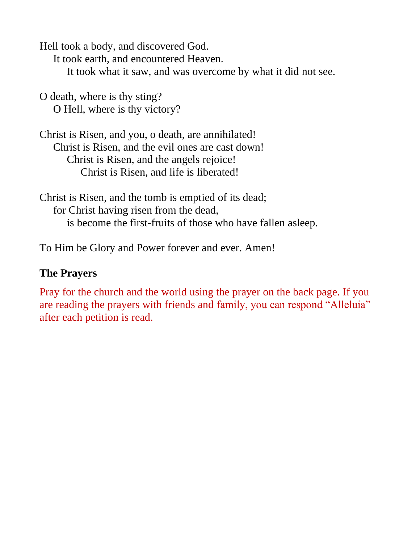Hell took a body, and discovered God.

It took earth, and encountered Heaven.

It took what it saw, and was overcome by what it did not see.

O death, where is thy sting? O Hell, where is thy victory?

Christ is Risen, and you, o death, are annihilated! Christ is Risen, and the evil ones are cast down! Christ is Risen, and the angels rejoice! Christ is Risen, and life is liberated!

Christ is Risen, and the tomb is emptied of its dead; for Christ having risen from the dead, is become the first-fruits of those who have fallen asleep.

To Him be Glory and Power forever and ever. Amen!

### **The Prayers**

Pray for the church and the world using the prayer on the back page. If you are reading the prayers with friends and family, you can respond "Alleluia" after each petition is read.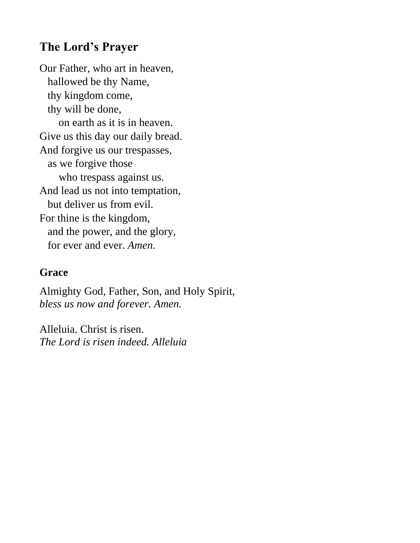## **The Lord's Prayer**

Our Father, who art in heaven, hallowed be thy Name, thy kingdom come, thy will be done, on earth as it is in heaven. Give us this day our daily bread. And forgive us our trespasses, as we forgive those who trespass against us. And lead us not into temptation, but deliver us from evil. For thine is the kingdom, and the power, and the glory, for ever and ever. *Amen.*

#### **Grace**

Almighty God, Father, Son, and Holy Spirit, *bless us now and forever. Amen.*

Alleluia. Christ is risen. *The Lord is risen indeed. Alleluia*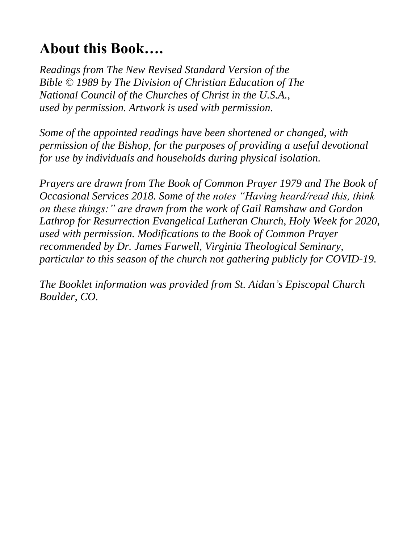# **About this Book….**

*Readings from The New Revised Standard Version of the Bible © 1989 by The Division of Christian Education of The National Council of the Churches of Christ in the U.S.A., used by permission. Artwork is used with permission.*

*Some of the appointed readings have been shortened or changed, with permission of the Bishop, for the purposes of providing a useful devotional for use by individuals and households during physical isolation.*

*Prayers are drawn from The Book of Common Prayer 1979 and The Book of Occasional Services 2018. Some of the notes "Having heard/read this, think on these things:" are drawn from the work of Gail Ramshaw and Gordon Lathrop for Resurrection Evangelical Lutheran Church, Holy Week for 2020, used with permission. Modifications to the Book of Common Prayer recommended by Dr. James Farwell, Virginia Theological Seminary, particular to this season of the church not gathering publicly for COVID-19.*

*The Booklet information was provided from St. Aidan's Episcopal Church Boulder, CO.*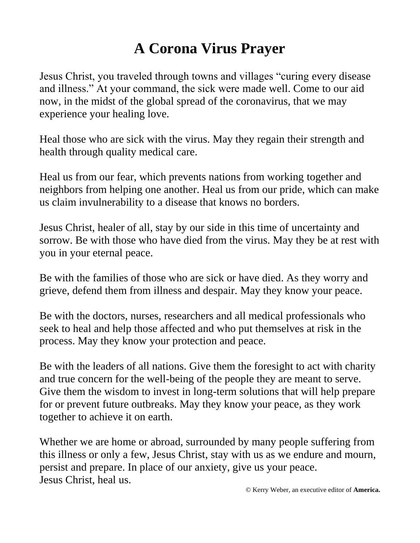# **A Corona Virus Prayer**

Jesus Christ, you traveled through towns and villages "curing every disease and illness." At your command, the sick were made well. Come to our aid now, in the midst of the global spread of the coronavirus, that we may experience your healing love.

Heal those who are sick with the virus. May they regain their strength and health through quality medical care.

Heal us from our fear, which prevents nations from working together and neighbors from helping one another. Heal us from our pride, which can make us claim invulnerability to a disease that knows no borders.

Jesus Christ, healer of all, stay by our side in this time of uncertainty and sorrow. Be with those who have died from the virus. May they be at rest with you in your eternal peace.

Be with the families of those who are sick or have died. As they worry and grieve, defend them from illness and despair. May they know your peace.

Be with the doctors, nurses, researchers and all medical professionals who seek to heal and help those affected and who put themselves at risk in the process. May they know your protection and peace.

Be with the leaders of all nations. Give them the foresight to act with charity and true concern for the well-being of the people they are meant to serve. Give them the wisdom to invest in long-term solutions that will help prepare for or prevent future outbreaks. May they know your peace, as they work together to achieve it on earth.

Whether we are home or abroad, surrounded by many people suffering from this illness or only a few, Jesus Christ, stay with us as we endure and mourn, persist and prepare. In place of our anxiety, give us your peace. Jesus Christ, heal us.